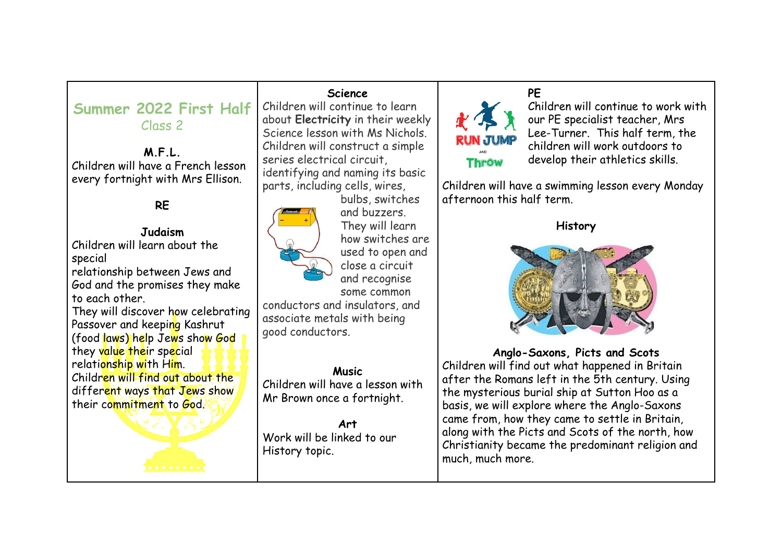| Summer 2022 First Half<br>Class 2<br>M.F.L.<br>Children will have a French lesson<br>every fortnight with Mrs Ellison.<br><b>RE</b><br><b>Judaism</b><br>Children will learn about the<br>special<br>relationship between Jews and<br>God and the promises they make<br>to each other.<br>They will discover how celebrating<br>Passover and keeping Kashrut<br>(food laws) help Jews show God<br>they value their special<br>relationship with Him.<br>Children will find out about the<br>different ways that Jews show<br>their commitment to God. | <b>Science</b><br>Children will continue to learn<br>about Electricity in their weekly<br>Science lesson with Ms Nichols.<br>Children will construct a simple<br>series electrical circuit,<br>identifying and naming its basic<br>parts, including cells, wires,<br>bulbs, switches<br>and buzzers.<br>They will learn<br>how switches are<br>used to open and<br>close a circuit<br>and recognise<br>some common<br>conductors and insulators, and<br>associate metals with being<br>good conductors.<br><b>Music</b><br>Children will have a lesson with<br>Mr Brown once a fortnight.<br><b>Art</b><br>Work will be linked to our | PE<br>Children will continue to work with<br>our PE specialist teacher, Mrs<br>Lee-Turner. This half term, the<br><b>RUN JUMP</b><br>children will work outdoors to<br>develop their athletics skills.<br><b>Throw</b><br>Children will have a swimming lesson every Monday<br>afternoon this half term.<br><b>History</b><br>Anglo-Saxons, Picts and Scots<br>Children will find out what happened in Britain<br>after the Romans left in the 5th century. Using<br>the mysterious burial ship at Sutton Hoo as a<br>basis, we will explore where the Anglo-Saxons<br>came from, how they came to settle in Britain,<br>along with the Picts and Scots of the north, how |
|-------------------------------------------------------------------------------------------------------------------------------------------------------------------------------------------------------------------------------------------------------------------------------------------------------------------------------------------------------------------------------------------------------------------------------------------------------------------------------------------------------------------------------------------------------|---------------------------------------------------------------------------------------------------------------------------------------------------------------------------------------------------------------------------------------------------------------------------------------------------------------------------------------------------------------------------------------------------------------------------------------------------------------------------------------------------------------------------------------------------------------------------------------------------------------------------------------|---------------------------------------------------------------------------------------------------------------------------------------------------------------------------------------------------------------------------------------------------------------------------------------------------------------------------------------------------------------------------------------------------------------------------------------------------------------------------------------------------------------------------------------------------------------------------------------------------------------------------------------------------------------------------|
|                                                                                                                                                                                                                                                                                                                                                                                                                                                                                                                                                       | History topic.                                                                                                                                                                                                                                                                                                                                                                                                                                                                                                                                                                                                                        | Christianity became the predominant religion and<br>much, much more.                                                                                                                                                                                                                                                                                                                                                                                                                                                                                                                                                                                                      |